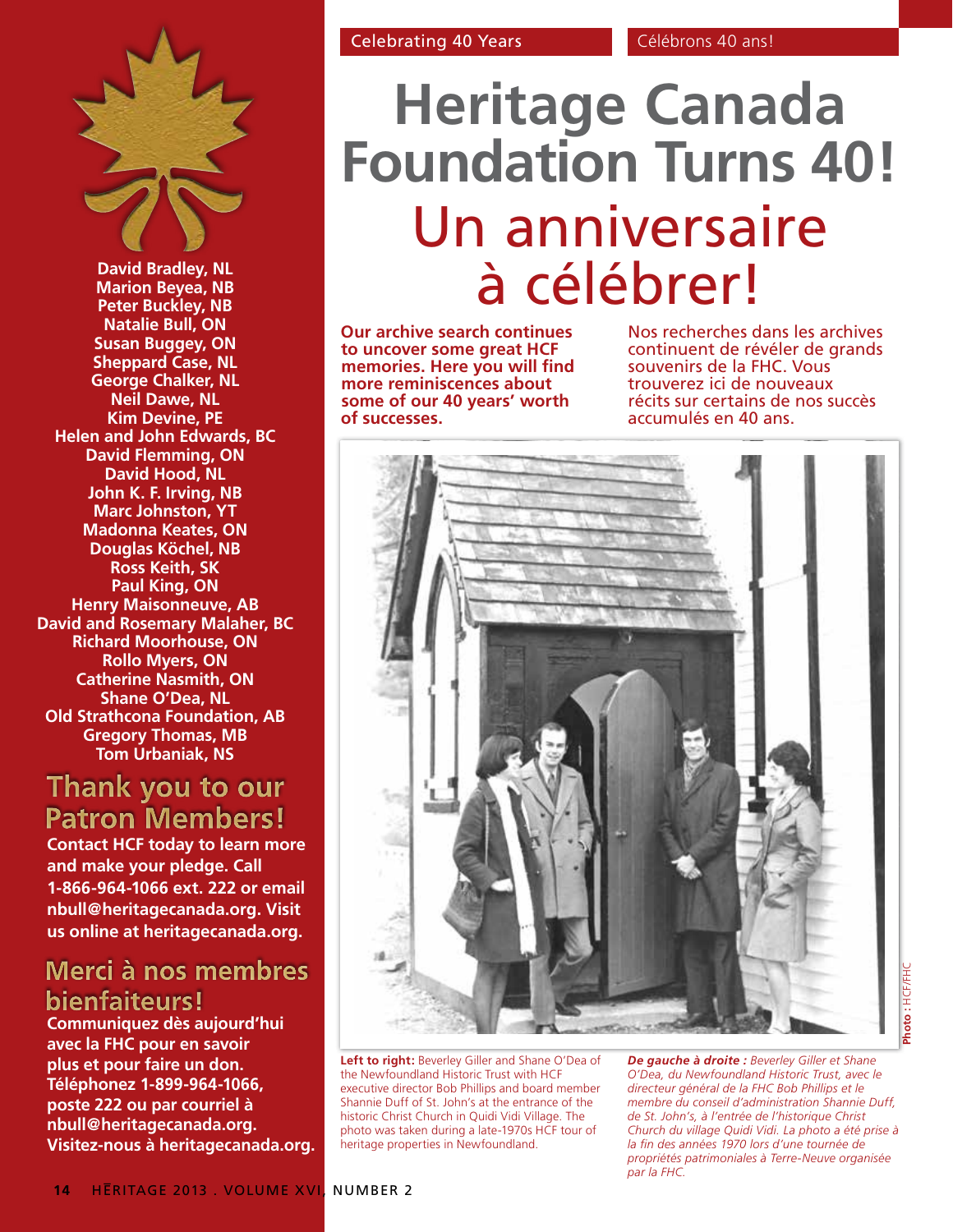

**David Bradley, NL Marion Beyea, NB Peter Buckley, NB Natalie Bull, ON Susan Buggey, ON Sheppard Case, NL George Chalker, NL Neil Dawe, NL Kim Devine, PE Helen and John Edwards, BC David Flemming, ON David Hood, NL John K. F. Irving, NB Marc Johnston, YT Madonna Keates, ON Douglas Köchel, NB Ross Keith, SK Paul King, ON Henry Maisonneuve, AB David and Rosemary Malaher, BC Richard Moorhouse, ON Rollo Myers, ON Catherine Nasmith, ON Shane O'Dea, NL Old Strathcona Foundation, AB Gregory Thomas, MB Tom Urbaniak, NS**

# Thank you to our **Patron Members!**

**Contact HCF today to learn more and make your pledge. Call 1-866-964-1066 ext. 222 or email nbull@heritagecanada.org. Visit us online at heritagecanada.org.**

# Merci à nos membres bienfaiteurs!

**Communiquez dès aujourd'hui avec la FHC pour en savoir plus et pour faire un don. Téléphonez 1-899-964-1066, poste 222 ou par courriel à nbull@heritagecanada.org. Visitez-nous à heritagecanada.org.**

# **Heritage Canada Foundation Turns 40!** Un anniversaire à célébrer!

**Our archive search continues to uncover some great HCF memories. Here you will find more reminiscences about some of our 40 years' worth of successes.** 

Nos recherches dans les archives continuent de révéler de grands souvenirs de la FHC. Vous trouverez ici de nouveaux récits sur certains de nos succès accumulés en 40 ans.



**Left to right:** Beverley Giller and Shane O'Dea of the Newfoundland Historic Trust with HCF executive director Bob Phillips and board member Shannie Duff of St. John's at the entrance of the historic Christ Church in Quidi Vidi Village. The photo was taken during a late-1970s HCF tour of heritage properties in Newfoundland.

*De gauche à droite : Beverley Giller et Shane O'Dea, du Newfoundland Historic Trust, avec le directeur général de la FHC Bob Phillips et le membre du conseil d'administration Shannie Duff, de St. John's, à l'entrée de l'historique Christ Church du village Quidi Vidi. La photo a été prise à la fin des années 1970 lors d'une tournée de propriétés patrimoniales à Terre-Neuve organisée par la FHC.*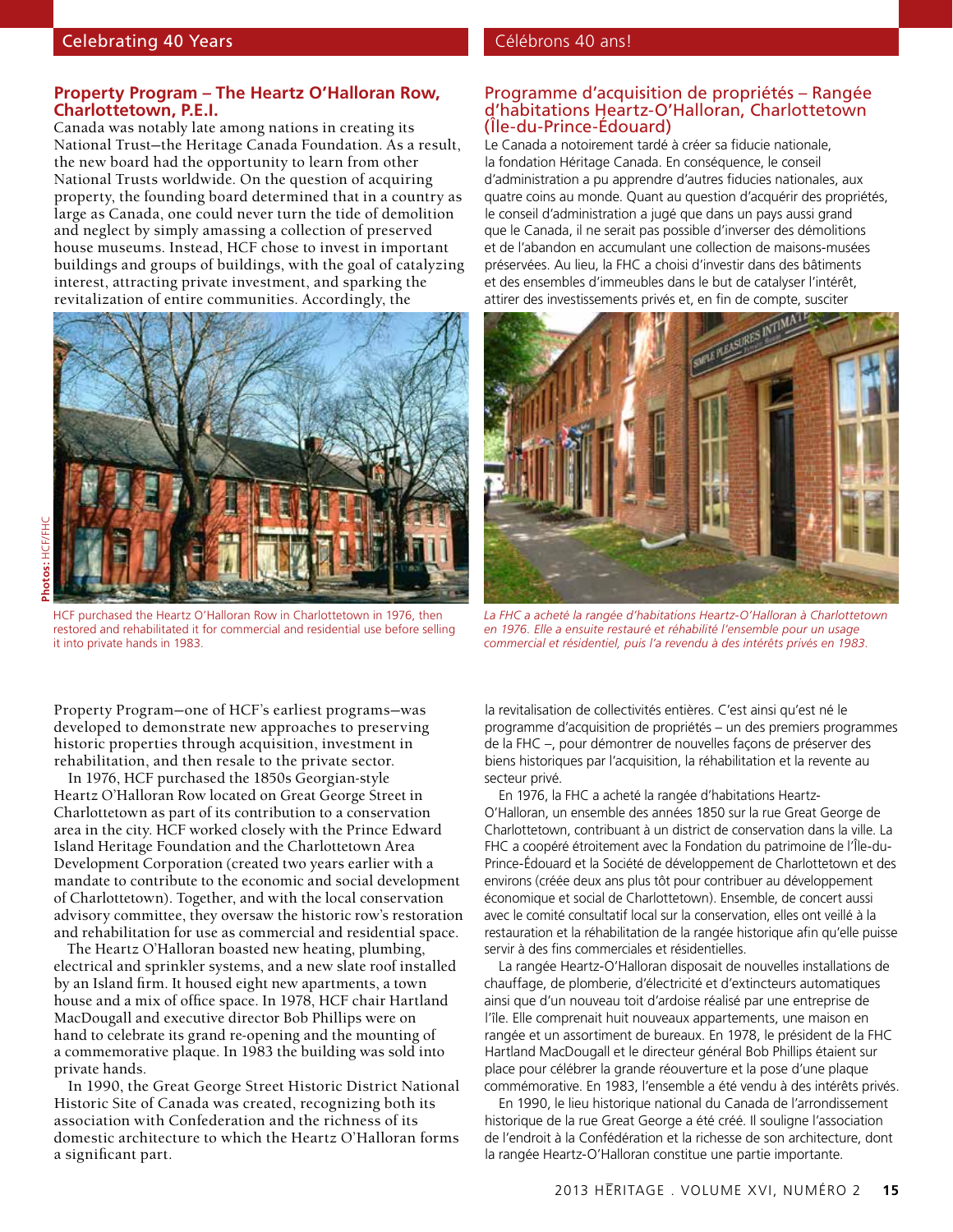#### **Property Program – The Heartz O'Halloran Row, Charlottetown, P.E.I.**

Canada was notably late among nations in creating its National Trust—the Heritage Canada Foundation. As a result, the new board had the opportunity to learn from other National Trusts worldwide. On the question of acquiring property, the founding board determined that in a country as large as Canada, one could never turn the tide of demolition and neglect by simply amassing a collection of preserved house museums. Instead, HCF chose to invest in important buildings and groups of buildings, with the goal of catalyzing interest, attracting private investment, and sparking the revitalization of entire communities. Accordingly, the



HCF purchased the Heartz O'Halloran Row in Charlottetown in 1976, then restored and rehabilitated it for commercial and residential use before selling it into private hands in 1983.

Property Program—one of HCF's earliest programs—was developed to demonstrate new approaches to preserving historic properties through acquisition, investment in rehabilitation, and then resale to the private sector.

In 1976, HCF purchased the 1850s Georgian-style Heartz O'Halloran Row located on Great George Street in Charlottetown as part of its contribution to a conservation area in the city. HCF worked closely with the Prince Edward Island Heritage Foundation and the Charlottetown Area Development Corporation (created two years earlier with a mandate to contribute to the economic and social development of Charlottetown). Together, and with the local conservation advisory committee, they oversaw the historic row's restoration and rehabilitation for use as commercial and residential space.

The Heartz O'Halloran boasted new heating, plumbing, electrical and sprinkler systems, and a new slate roof installed by an Island firm. It housed eight new apartments, a town house and a mix of office space. In 1978, HCF chair Hartland MacDougall and executive director Bob Phillips were on hand to celebrate its grand re-opening and the mounting of a commemorative plaque. In 1983 the building was sold into private hands.

In 1990, the Great George Street Historic District National Historic Site of Canada was created, recognizing both its association with Confederation and the richness of its domestic architecture to which the Heartz O'Halloran forms a significant part.

#### Programme d'acquisition de propriétés – Rangée d'habitations Heartz-O'Halloran, Charlottetown (Île-du-Prince-Édouard)

Le Canada a notoirement tardé à créer sa fiducie nationale, la fondation Héritage Canada. En conséquence, le conseil d'administration a pu apprendre d'autres fiducies nationales, aux quatre coins au monde. Quant au question d'acquérir des propriétés, le conseil d'administration a jugé que dans un pays aussi grand que le Canada, il ne serait pas possible d'inverser des démolitions et de l'abandon en accumulant une collection de maisons-musées préservées. Au lieu, la FHC a choisi d'investir dans des bâtiments et des ensembles d'immeubles dans le but de catalyser l'intérêt, attirer des investissements privés et, en fin de compte, susciter



*La FHC a acheté la rangée d'habitations Heartz-O'Halloran à Charlottetown en 1976. Elle a ensuite restauré et réhabilité l'ensemble pour un usage commercial et résidentiel, puis l'a revendu à des intérêts privés en 1983.*

la revitalisation de collectivités entières. C'est ainsi qu'est né le programme d'acquisition de propriétés – un des premiers programmes de la FHC –, pour démontrer de nouvelles façons de préserver des biens historiques par l'acquisition, la réhabilitation et la revente au secteur privé.

En 1976, la FHC a acheté la rangée d'habitations Heartz-O'Halloran, un ensemble des années 1850 sur la rue Great George de Charlottetown, contribuant à un district de conservation dans la ville. La FHC a coopéré étroitement avec la Fondation du patrimoine de l'Île-du-Prince-Édouard et la Société de développement de Charlottetown et des environs (créée deux ans plus tôt pour contribuer au développement économique et social de Charlottetown). Ensemble, de concert aussi avec le comité consultatif local sur la conservation, elles ont veillé à la restauration et la réhabilitation de la rangée historique afin qu'elle puisse servir à des fins commerciales et résidentielles.

La rangée Heartz-O'Halloran disposait de nouvelles installations de chauffage, de plomberie, d'électricité et d'extincteurs automatiques ainsi que d'un nouveau toit d'ardoise réalisé par une entreprise de l'île. Elle comprenait huit nouveaux appartements, une maison en rangée et un assortiment de bureaux. En 1978, le président de la FHC Hartland MacDougall et le directeur général Bob Phillips étaient sur place pour célébrer la grande réouverture et la pose d'une plaque commémorative. En 1983, l'ensemble a été vendu à des intérêts privés.

En 1990, le lieu historique national du Canada de l'arrondissement historique de la rue Great George a été créé. Il souligne l'association de l'endroit à la Confédération et la richesse de son architecture, dont la rangée Heartz-O'Halloran constitue une partie importante.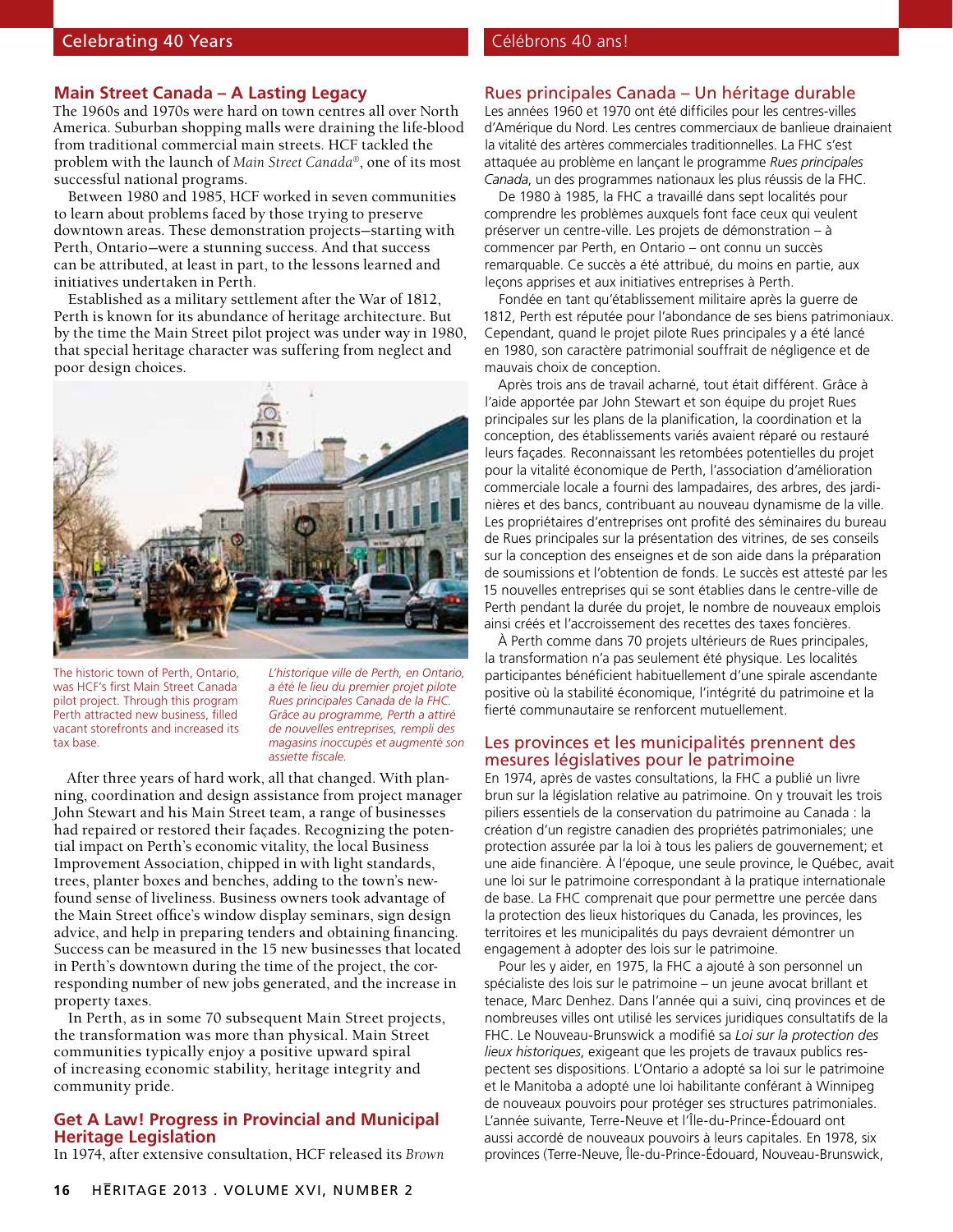#### Celebrating 40 Years Christian Celebrating 40 Years Celebrating AD ans!

#### **Main Street Canada – A Lasting Legacy**

The 1960s and 1970s were hard on town centres all over North America. Suburban shopping malls were draining the life-blood from traditional commercial main streets. HCF tackled the problem with the launch of *Main Street Canada®*, one of its most successful national programs.

Between 1980 and 1985, HCF worked in seven communities to learn about problems faced by those trying to preserve downtown areas. These demonstration projects—starting with Perth, Ontario—were a stunning success. And that success can be attributed, at least in part, to the lessons learned and initiatives undertaken in Perth.

Established as a military settlement after the War of 1812, Perth is known for its abundance of heritage architecture. But by the time the Main Street pilot project was under way in 1980, that special heritage character was suffering from neglect and poor design choices.



The historic town of Perth, Ontario, was HCF's first Main Street Canada pilot project. Through this program Perth attracted new business, filled vacant storefronts and increased its tax base.

*L'historique ville de Perth, en Ontario, a été le lieu du premier projet pilote Rues principales Canada de la FHC. Grâce au programme, Perth a attiré de nouvelles entreprises, rempli des magasins inoccupés et augmenté son assiette fiscale.*

After three years of hard work, all that changed. With planning, coordination and design assistance from project manager John Stewart and his Main Street team, a range of businesses had repaired or restored their façades. Recognizing the potential impact on Perth's economic vitality, the local Business Improvement Association, chipped in with light standards, trees, planter boxes and benches, adding to the town's newfound sense of liveliness. Business owners took advantage of the Main Street office's window display seminars, sign design advice, and help in preparing tenders and obtaining financing. Success can be measured in the 15 new businesses that located in Perth's downtown during the time of the project, the corresponding number of new jobs generated, and the increase in property taxes.

In Perth, as in some 70 subsequent Main Street projects, the transformation was more than physical. Main Street communities typically enjoy a positive upward spiral of increasing economic stability, heritage integrity and community pride.

#### **Get A Law! Progress in Provincial and Municipal Heritage Legislation**

In 1974, after extensive consultation, HCF released its *Brown* 

#### Rues principales Canada – Un héritage durable

Les années 1960 et 1970 ont été difficiles pour les centres-villes d'Amérique du Nord. Les centres commerciaux de banlieue drainaient la vitalité des artères commerciales traditionnelles. La FHC s'est attaquée au problème en lançant le programme *Rues principales Canada*, un des programmes nationaux les plus réussis de la FHC.

De 1980 à 1985, la FHC a travaillé dans sept localités pour comprendre les problèmes auxquels font face ceux qui veulent préserver un centre-ville. Les projets de démonstration – à commencer par Perth, en Ontario – ont connu un succès remarquable. Ce succès a été attribué, du moins en partie, aux leçons apprises et aux initiatives entreprises à Perth.

Fondée en tant qu'établissement militaire après la guerre de 1812, Perth est réputée pour l'abondance de ses biens patrimoniaux. Cependant, quand le projet pilote Rues principales y a été lancé en 1980, son caractère patrimonial souffrait de négligence et de mauvais choix de conception.

Après trois ans de travail acharné, tout était différent. Grâce à l'aide apportée par John Stewart et son équipe du projet Rues principales sur les plans de la planification, la coordination et la conception, des établissements variés avaient réparé ou restauré leurs façades. Reconnaissant les retombées potentielles du projet pour la vitalité économique de Perth, l'association d'amélioration commerciale locale a fourni des lampadaires, des arbres, des jardinières et des bancs, contribuant au nouveau dynamisme de la ville. Les propriétaires d'entreprises ont profité des séminaires du bureau de Rues principales sur la présentation des vitrines, de ses conseils sur la conception des enseignes et de son aide dans la préparation de soumissions et l'obtention de fonds. Le succès est attesté par les 15 nouvelles entreprises qui se sont établies dans le centre-ville de Perth pendant la durée du projet, le nombre de nouveaux emplois ainsi créés et l'accroissement des recettes des taxes foncières.

À Perth comme dans 70 projets ultérieurs de Rues principales, la transformation n'a pas seulement été physique. Les localités participantes bénéficient habituellement d'une spirale ascendante positive où la stabilité économique, l'intégrité du patrimoine et la fierté communautaire se renforcent mutuellement.

#### Les provinces et les municipalités prennent des mesures législatives pour le patrimoine

En 1974, après de vastes consultations, la FHC a publié un livre brun sur la législation relative au patrimoine. On y trouvait les trois piliers essentiels de la conservation du patrimoine au Canada : la création d'un registre canadien des propriétés patrimoniales; une protection assurée par la loi à tous les paliers de gouvernement; et une aide financière. À l'époque, une seule province, le Québec, avait une loi sur le patrimoine correspondant à la pratique internationale de base. La FHC comprenait que pour permettre une percée dans la protection des lieux historiques du Canada, les provinces, les territoires et les municipalités du pays devraient démontrer un engagement à adopter des lois sur le patrimoine.

Pour les y aider, en 1975, la FHC a ajouté à son personnel un spécialiste des lois sur le patrimoine – un jeune avocat brillant et tenace, Marc Denhez. Dans l'année qui a suivi, cinq provinces et de nombreuses villes ont utilisé les services juridiques consultatifs de la FHC. Le Nouveau-Brunswick a modifié sa *Loi sur la protection des lieux historiques*, exigeant que les projets de travaux publics respectent ses dispositions. L'Ontario a adopté sa loi sur le patrimoine et le Manitoba a adopté une loi habilitante conférant à Winnipeg de nouveaux pouvoirs pour protéger ses structures patrimoniales. L'année suivante, Terre-Neuve et l'Île-du-Prince-Édouard ont aussi accordé de nouveaux pouvoirs à leurs capitales. En 1978, six provinces (Terre-Neuve, Île-du-Prince-Édouard, Nouveau-Brunswick,